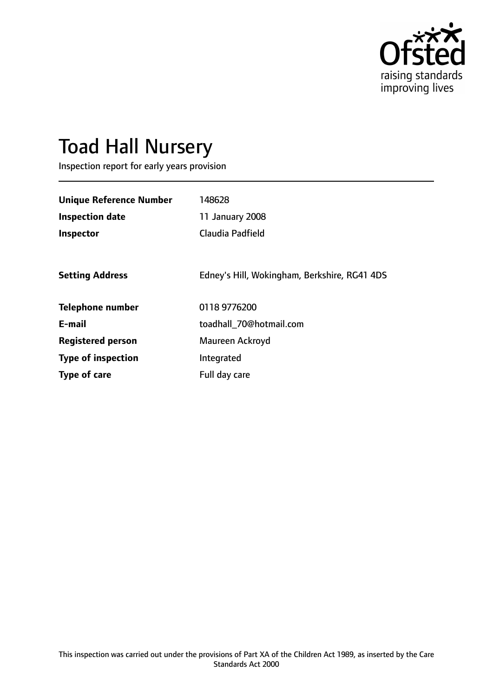

# Toad Hall Nursery

Inspection report for early years provision

| <b>Unique Reference Number</b><br><b>Inspection date</b><br>Inspector | 148628<br>11 January 2008<br>Claudia Padfield |
|-----------------------------------------------------------------------|-----------------------------------------------|
| <b>Setting Address</b>                                                | Edney's Hill, Wokingham, Berkshire, RG41 4DS  |
| <b>Telephone number</b>                                               | 0118 9776200                                  |
| E-mail                                                                | toadhall_70@hotmail.com                       |
| <b>Registered person</b>                                              | Maureen Ackroyd                               |
| <b>Type of inspection</b>                                             | Integrated                                    |
| <b>Type of care</b>                                                   | Full day care                                 |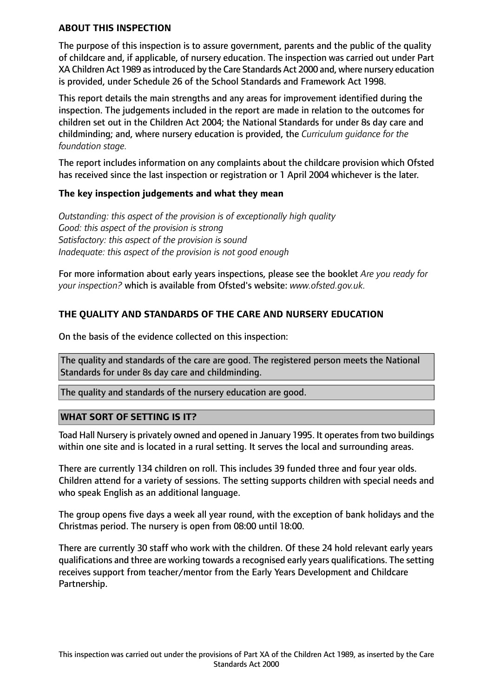#### **ABOUT THIS INSPECTION**

The purpose of this inspection is to assure government, parents and the public of the quality of childcare and, if applicable, of nursery education. The inspection was carried out under Part XA Children Act 1989 as introduced by the Care Standards Act 2000 and, where nursery education is provided, under Schedule 26 of the School Standards and Framework Act 1998.

This report details the main strengths and any areas for improvement identified during the inspection. The judgements included in the report are made in relation to the outcomes for children set out in the Children Act 2004; the National Standards for under 8s day care and childminding; and, where nursery education is provided, the *Curriculum guidance for the foundation stage.*

The report includes information on any complaints about the childcare provision which Ofsted has received since the last inspection or registration or 1 April 2004 whichever is the later.

#### **The key inspection judgements and what they mean**

*Outstanding: this aspect of the provision is of exceptionally high quality Good: this aspect of the provision is strong Satisfactory: this aspect of the provision is sound Inadequate: this aspect of the provision is not good enough*

For more information about early years inspections, please see the booklet *Are you ready for your inspection?* which is available from Ofsted's website: *www.ofsted.gov.uk.*

## **THE QUALITY AND STANDARDS OF THE CARE AND NURSERY EDUCATION**

On the basis of the evidence collected on this inspection:

The quality and standards of the care are good. The registered person meets the National Standards for under 8s day care and childminding.

The quality and standards of the nursery education are good.

#### **WHAT SORT OF SETTING IS IT?**

Toad Hall Nursery is privately owned and opened in January 1995. It operates from two buildings within one site and is located in a rural setting. It serves the local and surrounding areas.

There are currently 134 children on roll. This includes 39 funded three and four year olds. Children attend for a variety of sessions. The setting supports children with special needs and who speak English as an additional language.

The group opens five days a week all year round, with the exception of bank holidays and the Christmas period. The nursery is open from 08:00 until 18:00.

There are currently 30 staff who work with the children. Of these 24 hold relevant early years qualifications and three are working towards a recognised early years qualifications. The setting receives support from teacher/mentor from the Early Years Development and Childcare Partnership.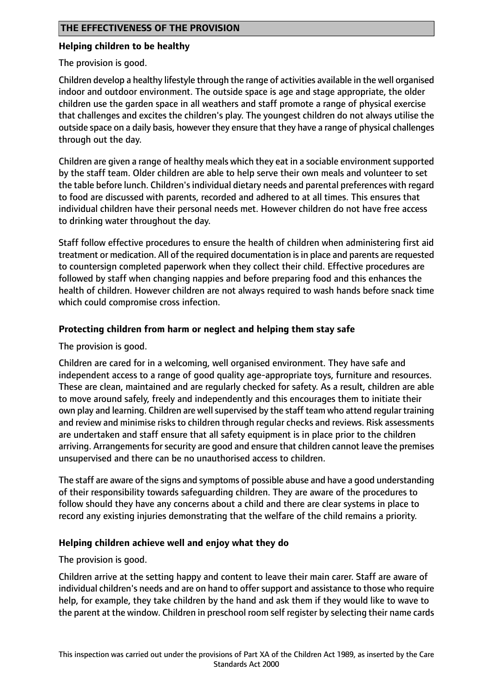## **Helping children to be healthy**

The provision is good.

Children develop a healthy lifestyle through the range of activities available in the well organised indoor and outdoor environment. The outside space is age and stage appropriate, the older children use the garden space in all weathers and staff promote a range of physical exercise that challenges and excites the children's play. The youngest children do not always utilise the outside space on a daily basis, however they ensure that they have a range of physical challenges through out the day.

Children are given a range of healthy meals which they eat in a sociable environment supported by the staff team. Older children are able to help serve their own meals and volunteer to set the table before lunch. Children's individual dietary needs and parental preferences with regard to food are discussed with parents, recorded and adhered to at all times. This ensures that individual children have their personal needs met. However children do not have free access to drinking water throughout the day.

Staff follow effective procedures to ensure the health of children when administering first aid treatment or medication. All of the required documentation is in place and parents are requested to countersign completed paperwork when they collect their child. Effective procedures are followed by staff when changing nappies and before preparing food and this enhances the health of children. However children are not always required to wash hands before snack time which could compromise cross infection.

# **Protecting children from harm or neglect and helping them stay safe**

The provision is good.

Children are cared for in a welcoming, well organised environment. They have safe and independent access to a range of good quality age-appropriate toys, furniture and resources. These are clean, maintained and are regularly checked for safety. As a result, children are able to move around safely, freely and independently and this encourages them to initiate their own play and learning. Children are well supervised by the staff team who attend regular training and review and minimise risks to children through regular checks and reviews. Risk assessments are undertaken and staff ensure that all safety equipment is in place prior to the children arriving. Arrangements for security are good and ensure that children cannot leave the premises unsupervised and there can be no unauthorised access to children.

The staff are aware of the signs and symptoms of possible abuse and have a good understanding of their responsibility towards safeguarding children. They are aware of the procedures to follow should they have any concerns about a child and there are clear systems in place to record any existing injuries demonstrating that the welfare of the child remains a priority.

# **Helping children achieve well and enjoy what they do**

The provision is good.

Children arrive at the setting happy and content to leave their main carer. Staff are aware of individual children's needs and are on hand to offersupport and assistance to those who require help, for example, they take children by the hand and ask them if they would like to wave to the parent at the window. Children in preschool room self register by selecting their name cards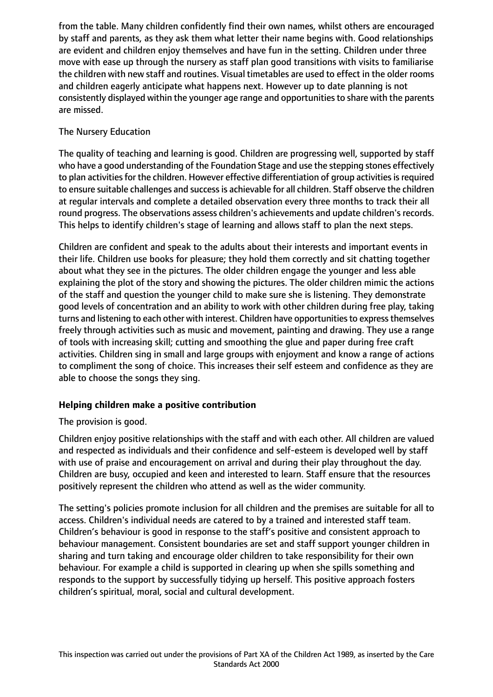from the table. Many children confidently find their own names, whilst others are encouraged by staff and parents, as they ask them what letter their name begins with. Good relationships are evident and children enjoy themselves and have fun in the setting. Children under three move with ease up through the nursery as staff plan good transitions with visits to familiarise the children with new staff and routines. Visual timetables are used to effect in the older rooms and children eagerly anticipate what happens next. However up to date planning is not consistently displayed within the younger age range and opportunities to share with the parents are missed.

## The Nursery Education

The quality of teaching and learning is good. Children are progressing well, supported by staff who have a good understanding of the Foundation Stage and use the stepping stones effectively to plan activities for the children. However effective differentiation of group activities is required to ensure suitable challenges and successis achievable for all children. Staff observe the children at regular intervals and complete a detailed observation every three months to track their all round progress. The observations assess children's achievements and update children's records. This helps to identify children's stage of learning and allows staff to plan the next steps.

Children are confident and speak to the adults about their interests and important events in their life. Children use books for pleasure; they hold them correctly and sit chatting together about what they see in the pictures. The older children engage the younger and less able explaining the plot of the story and showing the pictures. The older children mimic the actions of the staff and question the younger child to make sure she is listening. They demonstrate good levels of concentration and an ability to work with other children during free play, taking turns and listening to each other with interest. Children have opportunities to express themselves freely through activities such as music and movement, painting and drawing. They use a range of tools with increasing skill; cutting and smoothing the glue and paper during free craft activities. Children sing in small and large groups with enjoyment and know a range of actions to compliment the song of choice. This increases their self esteem and confidence as they are able to choose the songs they sing.

# **Helping children make a positive contribution**

# The provision is good.

Children enjoy positive relationships with the staff and with each other. All children are valued and respected as individuals and their confidence and self-esteem is developed well by staff with use of praise and encouragement on arrival and during their play throughout the day. Children are busy, occupied and keen and interested to learn. Staff ensure that the resources positively represent the children who attend as well as the wider community.

The setting's policies promote inclusion for all children and the premises are suitable for all to access. Children's individual needs are catered to by a trained and interested staff team. Children's behaviour is good in response to the staff's positive and consistent approach to behaviour management. Consistent boundaries are set and staff support younger children in sharing and turn taking and encourage older children to take responsibility for their own behaviour. For example a child is supported in clearing up when she spills something and responds to the support by successfully tidying up herself. This positive approach fosters children's spiritual, moral, social and cultural development.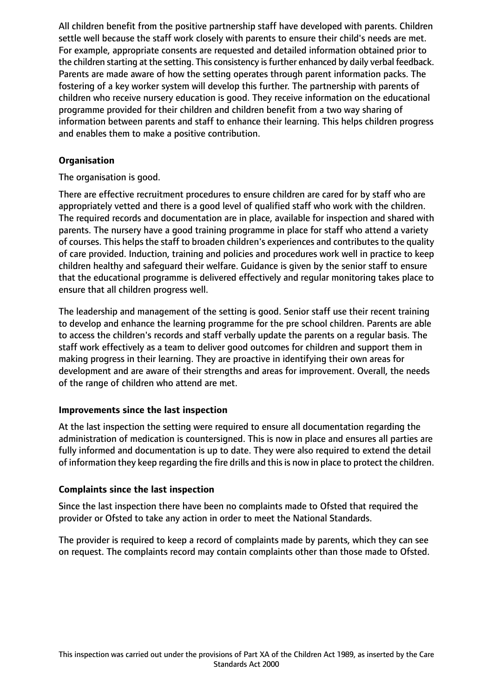All children benefit from the positive partnership staff have developed with parents. Children settle well because the staff work closely with parents to ensure their child's needs are met. For example, appropriate consents are requested and detailed information obtained prior to the children starting at the setting. This consistency is further enhanced by daily verbal feedback. Parents are made aware of how the setting operates through parent information packs. The fostering of a key worker system will develop this further. The partnership with parents of children who receive nursery education is good. They receive information on the educational programme provided for their children and children benefit from a two way sharing of information between parents and staff to enhance their learning. This helps children progress and enables them to make a positive contribution.

## **Organisation**

The organisation is good.

There are effective recruitment procedures to ensure children are cared for by staff who are appropriately vetted and there is a good level of qualified staff who work with the children. The required records and documentation are in place, available for inspection and shared with parents. The nursery have a good training programme in place for staff who attend a variety of courses. This helps the staff to broaden children's experiences and contributes to the quality of care provided. Induction, training and policies and procedures work well in practice to keep children healthy and safeguard their welfare. Guidance is given by the senior staff to ensure that the educational programme is delivered effectively and regular monitoring takes place to ensure that all children progress well.

The leadership and management of the setting is good. Senior staff use their recent training to develop and enhance the learning programme for the pre school children. Parents are able to access the children's records and staff verbally update the parents on a regular basis. The staff work effectively as a team to deliver good outcomes for children and support them in making progress in their learning. They are proactive in identifying their own areas for development and are aware of their strengths and areas for improvement. Overall, the needs of the range of children who attend are met.

### **Improvements since the last inspection**

At the last inspection the setting were required to ensure all documentation regarding the administration of medication is countersigned. This is now in place and ensures all parties are fully informed and documentation is up to date. They were also required to extend the detail of information they keep regarding the fire drills and thisis now in place to protect the children.

### **Complaints since the last inspection**

Since the last inspection there have been no complaints made to Ofsted that required the provider or Ofsted to take any action in order to meet the National Standards.

The provider is required to keep a record of complaints made by parents, which they can see on request. The complaints record may contain complaints other than those made to Ofsted.